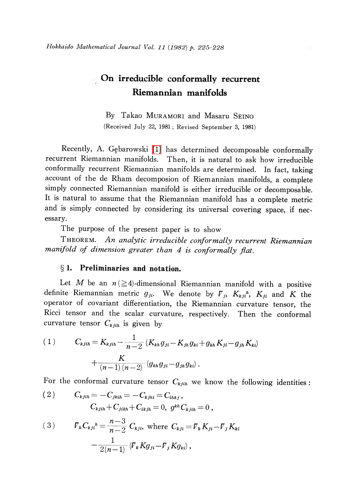# $\mathcal{O}_{\mathbb{Q}}$  On irreducible conformally recurrent Riemannian manifolds

By Takao MURAMORI and Masaru SEINO (Received July 22, 1981; Revised September 3, 1981)

Recently, A. Gebarowski [\[1\]](#page-3-0) has determined decomposable conformally recurrent Riemannian manifolds. Then, it is natural to ask how irreducible conformally recurrent Riemannian manifolds are determined. In fact, taking account of the de Rham decomposion of Riemannian manifolds, a complete simply connected Riemannian manifold is either irreducible or decomposable. It is natural to assume that the Riemannian manifold has a complete metric and is simply connected by considering its universal covering space, if necessary.

<span id="page-0-0"></span>The purpose of the present paper is to show

THEOREM. An analytic irreducible conformally recurrent Riemannian manifold of dimension greater than 4 is conformally flat.

## $\S 1.$  Preliminaries and notation.

Let M be an  $n \geq 4$ -dimensional Riemannian manifold with a positive definite Riemannian metric  $g_{ji}$ . We denote by  ${\bf \cal F}_{j}$ ,  $K_{kji}{}^{h}$ ,  $K_{ji}$  and  $K$  the operator of covariant differentiation, the Riemannian curvature tensor, the Ricci tensor and the scalar curvature, respectively. Then the conformal curvature tensor  $C_{kjih}$  is given by

(1) 
$$
C_{kjih} = K_{kjih} - \frac{1}{n-2} (K_{kh} g_{ji} - K_{jh} g_{ki} + g_{kh} K_{ji} - g_{jh} K_{ki}) + \frac{K}{(n-1) (n-2)} (g_{kh} g_{ji} - g_{jh} g_{ki}).
$$

For the conformal curvature tensor  $C_{k,jih}$  we know the following identities:

(2) 
$$
C_{kjih} = -C_{jkih} = -C_{kjhi} = C_{ihkj},
$$

$$
C_{kjih} + C_{jikh} + C_{ikjh} = 0, g^{kh} C_{kjih} = 0,
$$

(3) 
$$
V_{h}C_{kj}^{h} = \frac{n-3}{n-2} C_{kji}, \text{ where } C_{kj} = V_{k}K_{ji} - V_{j}K_{ki} - \frac{1}{2(n-1)} (V_{k}Kg_{ji} - V_{j}Kg_{ki}),
$$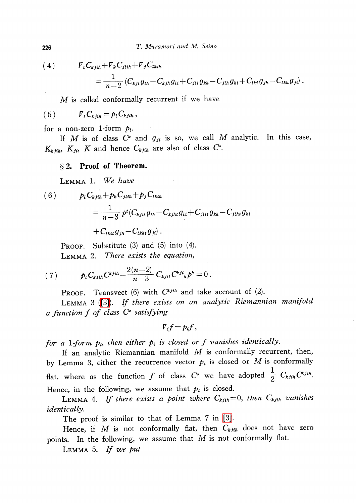226 T. Muramori and M. Seino

(4) \nabla\_{l}C\_{kjih}+\nabla\_{k}C\_{jlih}+\nabla\_{j}C\_{lkih}

$$
=\frac{1}{n-2}\left(C_{kji}g_{lh}-C_{kjh}g_{li}+C_{jli}g_{kh}-C_{jlh}g_{ki}+C_{lki}g_{jh}-C_{lkh}g_{jl}\right)
$$

M is called conformally recurrent if we have

(5) \nabla\_{l}C\_{kjih}=p\_{l}C\_{kjih} ,

for a non-zero 1-form  $p_{l}$ .

If M is of class  $C^{\bullet}$  and  $g_{ji}$  is so, we call M analytic. In this case,  $K_{kjih}$ ,  $K_{ji}$ ,  $K$  and hence  $C_{kjih}$  are also of class  $C^{\bullet}$ .

## \S 2. Proof of Theorem.

LEMMA 1. We have

(6)  $p_{l}C_{k,jih}+p_{k}C_{jlih}+p_{j}C_{lkih}$  $= \frac{1}{n-3}\,p^{t}(C_{kjit}g_{lh}-C_{kjht}g_{li}+C_{jlit}g_{kh}-C_{jlht}g_{ki})$ 

 $+C_{lkt}g_{jk}-C_{lkt}g_{ji}$ .

PROOF. Substitute (3) and (5) into (4). Lemma 2. There exists the equation,

(7) 
$$
p_t C_{kjih} C^{kjih} - \frac{2(n-2)}{n-3} C_{kjil} C^{kji}{}_h p^h = 0.
$$

**PROOF.** Teansvect (6) with  $C^{k,jih}$  and take account of (2).

Lemma <sup>3</sup> [\(\[3\]\)](#page-3-1). If there exists on an analytic Riemannian manifold a function  $f$  of class  $C^{\omega}$  satisfying

$$
V_if=p_if,
$$

for a 1-form  $p_{i}$ , then either  $p_{i}$  is closed or f vanishes identically.<br>If an applying Piemannian manifold M is conformally recurry

If an analytic Riemannian manifold  $M$  is conformally recurrent, then, by Lemma 3, either the recurrence vector  $p_{i}$  is closed or M is conformally flat, where as the function f of class  $C^{\omega}$  we have adopted  $\frac{1}{2}C_{k,jih}C^{k,jih}$ . Hence, in the following, we assume that  $p_{i}$  is closed.

LEMMA 4. If there exists a point where  $C_{k,jih}=0$ , then  $C_{k,jih}$  vanishes identically.

The proof is similar to that of Lemma 7 in [\[3\].](#page-3-1)

Hence, if M is not conformally flat, then  $C_{k,jih}$  does not have zero points. In the following, we assume that  $M$  is not conformally flat.

Lemma 5. If we put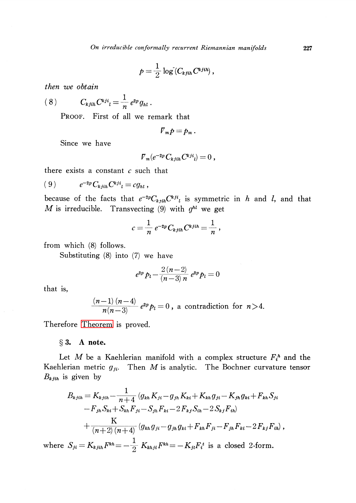$$
p=\frac{1}{2}\log(C_{kjih}C^{kjih}),
$$

then we obtain

$$
(8) \tC_{kjih}C^{kji}{}_{l}=\frac{1}{n}e^{2p}g_{hl}.
$$

PROOF. First of all we remark that

$$
V_m p = p_m.
$$

Since we have

$$
\overline{V}_m(e^{-2p}C_{kjih}C^{kji}_l)=0\;,
$$

there exists a constant  $c$  such that

$$
(9) \qquad e^{-2p} C_{kjih} C^{kji} = c g_{hl} ,
$$

because of the facts that  $e^{-2p}C_{k,jih}C_{j}^{kji}$  is symmetric in h and l, and that M is irreducible. Transvecting (9) with  $q^{hl}$  we get

$$
c=\frac{1}{n}e^{-2p}C_{kjih}C^{kjih}=\frac{1}{n},
$$

from which (8) follows.

Substituting (8) into (7) we have

$$
e^{2p} p_l - \frac{2(n-2)}{(n-3) n} e^{2p} p_l = 0
$$

that is,

$$
\frac{(n-1)(n-4)}{n(n-3)}e^{2p}p_l=0
$$
, a contradiction for  $n>4$ .

Therefore [Theorem](#page-0-0) is proved.

#### $\S 3.$  A note.

Let M be a Kaehlerian manifold with a complex structure  $F_{i}^{h}$  and the Kaehlerian metric  $g_{ji}$ . Then M is analytic. The Bochner curvature tensor  $B_{kjih}$  is given by

$$
B_{k,jih} = K_{k,jih} - \frac{1}{n+4} (g_{kh} K_{ji} - g_{jh} K_{ki} + K_{kh} g_{ji} - K_{jh} g_{ki} + F_{kh} S_{ji}
$$
  
\n
$$
-F_{jh} S_{ki} + S_{kh} F_{ji} - S_{jh} F_{ki} - 2 F_{kj} S_{ih} - 2 S_{kj} F_{ih})
$$
  
\n
$$
+ \frac{K}{(n+2) (n+4)} (g_{kh} g_{ji} - g_{jh} g_{ki} + F_{kh} F_{ji} - F_{jh} F_{ki} - 2 F_{kj} F_{ih}),
$$

where  $S_{ji}=K_{kjih}F^{kh}=- \frac{1}{2}K_{khji}F^{kh}=-K_{ji}F_{i}^{t}$  is a closed 2-form.